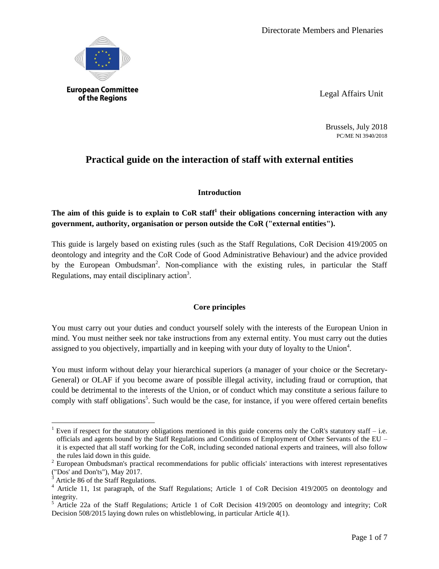

Legal Affairs Unit

Brussels, July 2018 PC/ME NI 3940/2018

# **Practical guide on the interaction of staff with external entities**

## **Introduction**

# **The aim of this guide is to explain to CoR staff<sup>1</sup> their obligations concerning interaction with any government, authority, organisation or person outside the CoR ("external entities").**

This guide is largely based on existing rules (such as the Staff Regulations, CoR Decision 419/2005 on deontology and integrity and the CoR Code of Good Administrative Behaviour) and the advice provided by the European Ombudsman<sup>2</sup>. Non-compliance with the existing rules, in particular the Staff Regulations, may entail disciplinary action<sup>3</sup>.

# **Core principles**

You must carry out your duties and conduct yourself solely with the interests of the European Union in mind. You must neither seek nor take instructions from any external entity. You must carry out the duties assigned to you objectively, impartially and in keeping with your duty of loyalty to the Union<sup>4</sup>.

You must inform without delay your hierarchical superiors (a manager of your choice or the Secretary-General) or OLAF if you become aware of possible illegal activity, including fraud or corruption, that could be detrimental to the interests of the Union, or of conduct which may constitute a serious failure to comply with staff obligations<sup>5</sup>. Such would be the case, for instance, if you were offered certain benefits

 $\overline{a}$ 

Even if respect for the statutory obligations mentioned in this guide concerns only the CoR's statutory staff – i.e. officials and agents bound by the Staff Regulations and Conditions of Employment of Other Servants of the EU – it is expected that all staff working for the CoR, including seconded national experts and trainees, will also follow the rules laid down in this guide.

<sup>&</sup>lt;sup>2</sup> European Ombudsman's practical recommendations for public officials' interactions with interest representatives ("Dos' and Don'ts"), May 2017.

<sup>3</sup> Article 86 of the Staff Regulations.

<sup>&</sup>lt;sup>4</sup> Article 11, 1st paragraph, of the Staff Regulations; Article 1 of CoR Decision 419/2005 on deontology and integrity.

<sup>&</sup>lt;sup>5</sup> Article 22a of the Staff Regulations; Article 1 of CoR Decision 419/2005 on deontology and integrity; CoR Decision 508/2015 laying down rules on whistleblowing, in particular Article 4(1).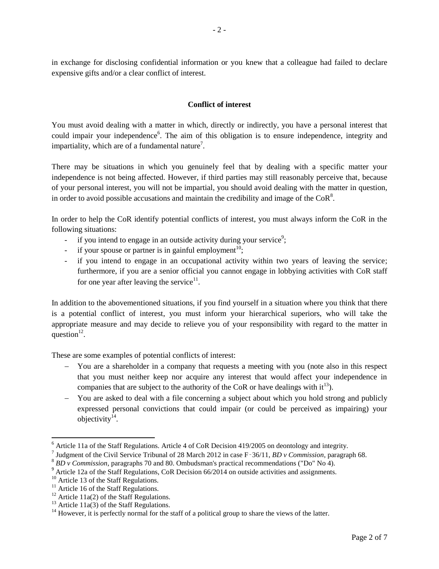in exchange for disclosing confidential information or you knew that a colleague had failed to declare expensive gifts and/or a clear conflict of interest.

## **Conflict of interest**

You must avoid dealing with a matter in which, directly or indirectly, you have a personal interest that could impair your independence<sup>6</sup>. The aim of this obligation is to ensure independence, integrity and impartiality, which are of a fundamental nature<sup>7</sup>.

There may be situations in which you genuinely feel that by dealing with a specific matter your independence is not being affected. However, if third parties may still reasonably perceive that, because of your personal interest, you will not be impartial, you should avoid dealing with the matter in question, in order to avoid possible accusations and maintain the credibility and image of the CoR<sup>8</sup>.

In order to help the CoR identify potential conflicts of interest, you must always inform the CoR in the following situations:

- if you intend to engage in an outside activity during your service<sup>9</sup>;
- if your spouse or partner is in gainful employment<sup>10</sup>;
- if you intend to engage in an occupational activity within two years of leaving the service; furthermore, if you are a senior official you cannot engage in lobbying activities with CoR staff for one year after leaving the service $1$ .

In addition to the abovementioned situations, if you find yourself in a situation where you think that there is a potential conflict of interest, you must inform your hierarchical superiors, who will take the appropriate measure and may decide to relieve you of your responsibility with regard to the matter in question $12$ .

These are some examples of potential conflicts of interest:

- You are a shareholder in a company that requests a meeting with you (note also in this respect that you must neither keep nor acquire any interest that would affect your independence in companies that are subject to the authority of the CoR or have dealings with  $it^{13}$ ).
- You are asked to deal with a file concerning a subject about which you hold strong and publicly expressed personal convictions that could impair (or could be perceived as impairing) your objectivity $14$ .

 $\overline{\phantom{a}}$ 

 $6$  Article 11a of the Staff Regulations. Article 4 of CoR Decision 419/2005 on deontology and integrity.

<sup>7</sup> Judgment of the Civil Service Tribunal of 28 March 2012 in case F‑36/11, *BD v Commission*, paragraph 68.

<sup>8</sup> *BD v Commission*, paragraphs 70 and 80. Ombudsman's practical recommendations ("Do" No 4).

<sup>&</sup>lt;sup>9</sup> Article 12a of the Staff Regulations, CoR Decision 66/2014 on outside activities and assignments.

<sup>&</sup>lt;sup>10</sup> Article 13 of the Staff Regulations.

 $11$  Article 16 of the Staff Regulations.

<sup>&</sup>lt;sup>12</sup> Article 11a(2) of the Staff Regulations.

<sup>&</sup>lt;sup>13</sup> Article 11a(3) of the Staff Regulations.

<sup>&</sup>lt;sup>14</sup> However, it is perfectly normal for the staff of a political group to share the views of the latter.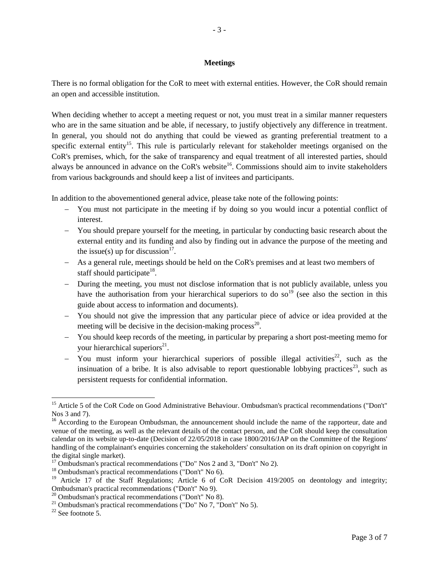#### **Meetings**

There is no formal obligation for the CoR to meet with external entities. However, the CoR should remain an open and accessible institution.

When deciding whether to accept a meeting request or not, you must treat in a similar manner requesters who are in the same situation and be able, if necessary, to justify objectively any difference in treatment. In general, you should not do anything that could be viewed as granting preferential treatment to a specific external entity<sup>15</sup>. This rule is particularly relevant for stakeholder meetings organised on the CoR's premises, which, for the sake of transparency and equal treatment of all interested parties, should always be announced in advance on the CoR's website<sup>16</sup>. Commissions should aim to invite stakeholders from various backgrounds and should keep a list of invitees and participants.

In addition to the abovementioned general advice, please take note of the following points:

- You must not participate in the meeting if by doing so you would incur a potential conflict of interest.
- You should prepare yourself for the meeting, in particular by conducting basic research about the external entity and its funding and also by finding out in advance the purpose of the meeting and the issue(s) up for discussion $17$ .
- As a general rule, meetings should be held on the CoR's premises and at least two members of staff should participate<sup>18</sup>.
- During the meeting, you must not disclose information that is not publicly available, unless you have the authorisation from your hierarchical superiors to do so<sup>19</sup> (see also the section in this guide about access to information and documents).
- You should not give the impression that any particular piece of advice or idea provided at the meeting will be decisive in the decision-making process<sup>20</sup>.
- You should keep records of the meeting, in particular by preparing a short post-meeting memo for your hierarchical superiors<sup>21</sup>.
- You must inform your hierarchical superiors of possible illegal activities<sup>22</sup>, such as the insinuation of a bribe. It is also advisable to report questionable lobbying practices<sup>23</sup>, such as persistent requests for confidential information.

 $\overline{a}$ 

<sup>&</sup>lt;sup>15</sup> Article 5 of the CoR Code on Good Administrative Behaviour. Ombudsman's practical recommendations ("Don't" Nos 3 and 7).

<sup>&</sup>lt;sup>16</sup> According to the European Ombudsman, the announcement should include the name of the rapporteur, date and venue of the meeting, as well as the relevant details of the contact person, and the CoR should keep the consultation calendar on its website up-to-date (Decision of 22/05/2018 in case 1800/2016/JAP on the Committee of the Regions' handling of the complainant's enquiries concerning the stakeholders' consultation on its draft opinion on copyright in the digital single market).

<sup>&</sup>lt;sup>17</sup> Ombudsman's practical recommendations ("Do" Nos 2 and 3, "Don't" No 2).

<sup>18</sup> Ombudsman's practical recommendations ("Don't" No 6).

<sup>&</sup>lt;sup>19</sup> Article 17 of the Staff Regulations; Article 6 of CoR Decision 419/2005 on deontology and integrity; Ombudsman's practical recommendations ("Don't" No 9).

 $20$  Ombudsman's practical recommendations ("Don't" No 8).

<sup>&</sup>lt;sup>21</sup> Ombudsman's practical recommendations ("Do" No 7, "Don't" No 5).

 $22$  See footnote 5.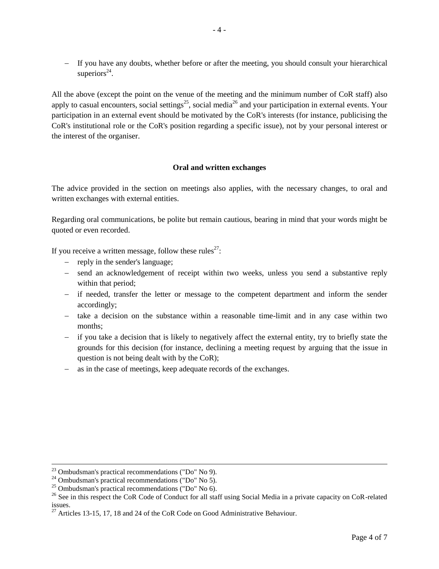- If you have any doubts, whether before or after the meeting, you should consult your hierarchical superiors $^{24}$ .

All the above (except the point on the venue of the meeting and the minimum number of CoR staff) also apply to casual encounters, social settings<sup>25</sup>, social media<sup>26</sup> and your participation in external events. Your participation in an external event should be motivated by the CoR's interests (for instance, publicising the CoR's institutional role or the CoR's position regarding a specific issue), not by your personal interest or the interest of the organiser.

## **Oral and written exchanges**

The advice provided in the section on meetings also applies, with the necessary changes, to oral and written exchanges with external entities.

Regarding oral communications, be polite but remain cautious, bearing in mind that your words might be quoted or even recorded.

If you receive a written message, follow these rules<sup>27</sup>:

- reply in the sender's language;
- send an acknowledgement of receipt within two weeks, unless you send a substantive reply within that period;
- if needed, transfer the letter or message to the competent department and inform the sender accordingly;
- $\overline{a}$  take a decision on the substance within a reasonable time-limit and in any case within two months;
- if you take a decision that is likely to negatively affect the external entity, try to briefly state the grounds for this decision (for instance, declining a meeting request by arguing that the issue in question is not being dealt with by the CoR);
- as in the case of meetings, keep adequate records of the exchanges.

 $\overline{a}$ 

 $23$  Ombudsman's practical recommendations ("Do" No 9).

 $24$  Ombudsman's practical recommendations ("Do" No 5).

 $^{25}$  Ombudsman's practical recommendations ("Do" No 6).

<sup>&</sup>lt;sup>26</sup> See in this respect the CoR Code of Conduct for all staff using Social Media in a private capacity on CoR-related issues.

 $^{27}$  Articles 13-15, 17, 18 and 24 of the CoR Code on Good Administrative Behaviour.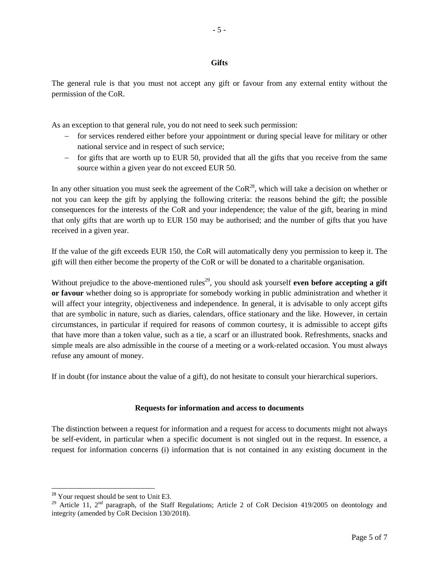### **Gifts**

- 5 -

The general rule is that you must not accept any gift or favour from any external entity without the permission of the CoR.

As an exception to that general rule, you do not need to seek such permission:

- for services rendered either before your appointment or during special leave for military or other national service and in respect of such service;
- for gifts that are worth up to EUR 50, provided that all the gifts that you receive from the same source within a given year do not exceed EUR 50.

In any other situation you must seek the agreement of the  $\text{CoR}^{28}$ , which will take a decision on whether or not you can keep the gift by applying the following criteria: the reasons behind the gift; the possible consequences for the interests of the CoR and your independence; the value of the gift, bearing in mind that only gifts that are worth up to EUR 150 may be authorised; and the number of gifts that you have received in a given year.

If the value of the gift exceeds EUR 150, the CoR will automatically deny you permission to keep it. The gift will then either become the property of the CoR or will be donated to a charitable organisation.

Without prejudice to the above-mentioned rules<sup>29</sup>, you should ask yourself **even before accepting a gift or favour** whether doing so is appropriate for somebody working in public administration and whether it will affect your integrity, objectiveness and independence. In general, it is advisable to only accept gifts that are symbolic in nature, such as diaries, calendars, office stationary and the like. However, in certain circumstances, in particular if required for reasons of common courtesy, it is admissible to accept gifts that have more than a token value, such as a tie, a scarf or an illustrated book. Refreshments, snacks and simple meals are also admissible in the course of a meeting or a work-related occasion. You must always refuse any amount of money.

If in doubt (for instance about the value of a gift), do not hesitate to consult your hierarchical superiors.

#### **Requests for information and access to documents**

The distinction between a request for information and a request for access to documents might not always be self-evident, in particular when a specific document is not singled out in the request. In essence, a request for information concerns (i) information that is not contained in any existing document in the

 $\overline{\phantom{a}}$ 

<sup>&</sup>lt;sup>28</sup> Your request should be sent to Unit E3.

<sup>&</sup>lt;sup>29</sup> Article 11, 2<sup>nd</sup> paragraph, of the Staff Regulations; Article 2 of CoR Decision 419/2005 on deontology and integrity (amended by CoR Decision 130/2018).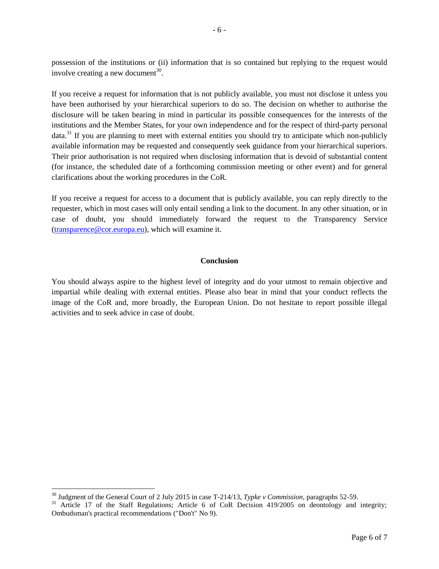possession of the institutions or (ii) information that is so contained but replying to the request would involve creating a new document<sup>30</sup>.

If you receive a request for information that is not publicly available, you must not disclose it unless you have been authorised by your hierarchical superiors to do so. The decision on whether to authorise the disclosure will be taken bearing in mind in particular its possible consequences for the interests of the institutions and the Member States, for your own independence and for the respect of third-party personal data.<sup>31</sup> If you are planning to meet with external entities you should try to anticipate which non-publicly available information may be requested and consequently seek guidance from your hierarchical superiors. Their prior authorisation is not required when disclosing information that is devoid of substantial content (for instance, the scheduled date of a forthcoming commission meeting or other event) and for general clarifications about the working procedures in the CoR.

If you receive a request for access to a document that is publicly available, you can reply directly to the requester, which in most cases will only entail sending a link to the document. In any other situation, or in case of doubt, you should immediately forward the request to the Transparency Service [\(transparence@cor.europa.eu\)](mailto:transparence@cor.europa.eu), which will examine it.

### **Conclusion**

You should always aspire to the highest level of integrity and do your utmost to remain objective and impartial while dealing with external entities. Please also bear in mind that your conduct reflects the image of the CoR and, more broadly, the European Union. Do not hesitate to report possible illegal activities and to seek advice in case of doubt.

 $\overline{\phantom{a}}$ 

<sup>30</sup> Judgment of the General Court of 2 July 2015 in case T-214/13, *Typke v Commission*, paragraphs 52-59.

<sup>&</sup>lt;sup>31</sup> Article 17 of the Staff Regulations; Article 6 of CoR Decision 419/2005 on deontology and integrity; Ombudsman's practical recommendations ("Don't" No 9).